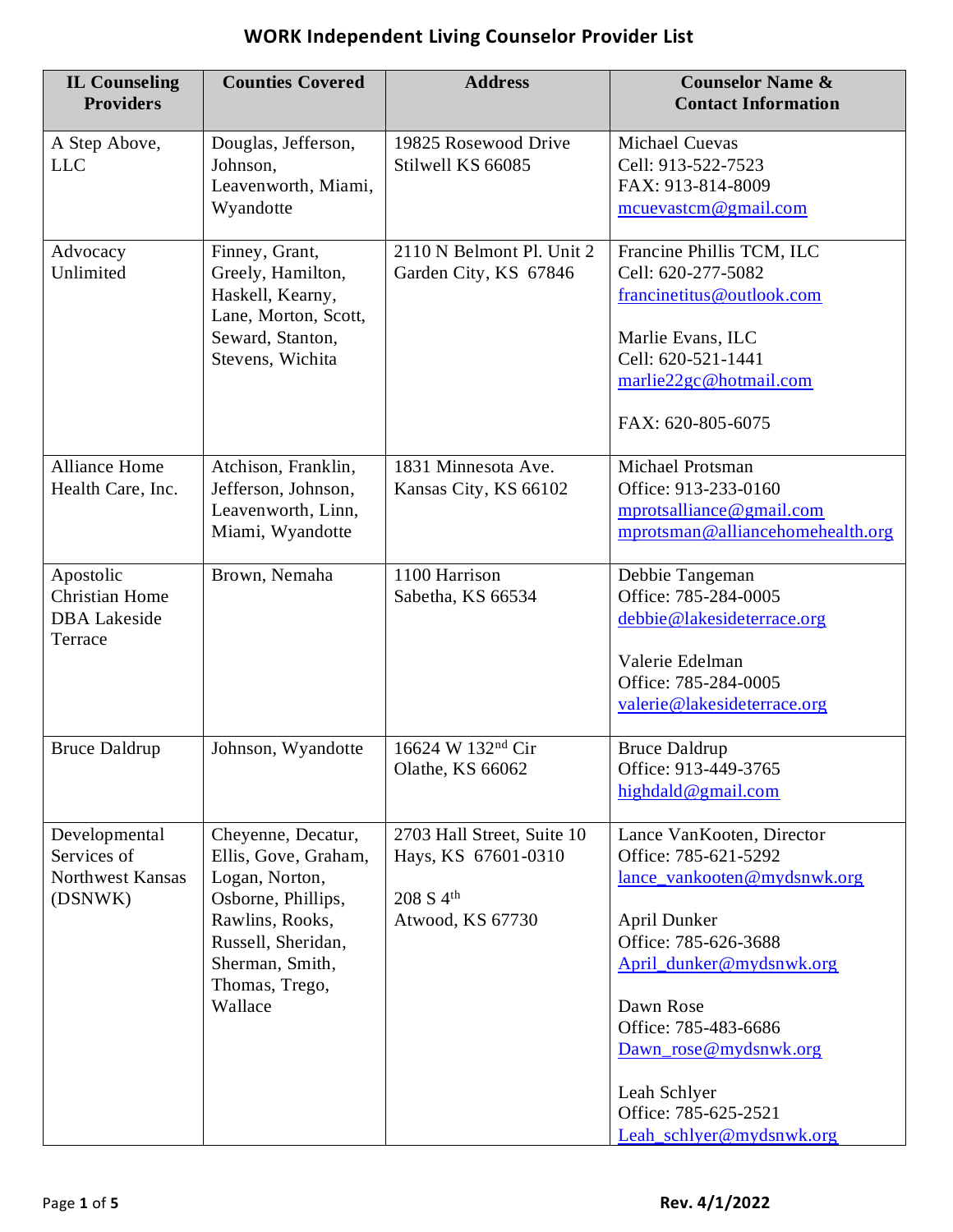| <b>IL Counseling</b><br><b>Providers</b>                             | <b>Counties Covered</b>                                                                                                                                                     | <b>Address</b>                                                                     | <b>Counselor Name &amp;</b><br><b>Contact Information</b>                                                                                                                                                                                                                                     |
|----------------------------------------------------------------------|-----------------------------------------------------------------------------------------------------------------------------------------------------------------------------|------------------------------------------------------------------------------------|-----------------------------------------------------------------------------------------------------------------------------------------------------------------------------------------------------------------------------------------------------------------------------------------------|
| A Step Above,<br><b>LLC</b>                                          | Douglas, Jefferson,<br>Johnson,<br>Leavenworth, Miami,<br>Wyandotte                                                                                                         | 19825 Rosewood Drive<br>Stilwell KS 66085                                          | <b>Michael Cuevas</b><br>Cell: 913-522-7523<br>FAX: 913-814-8009<br>mcuevastcm@gmail.com                                                                                                                                                                                                      |
| Advocacy<br>Unlimited                                                | Finney, Grant,<br>Greely, Hamilton,<br>Haskell, Kearny,<br>Lane, Morton, Scott,<br>Seward, Stanton,<br>Stevens, Wichita                                                     | 2110 N Belmont Pl. Unit 2<br>Garden City, KS 67846                                 | Francine Phillis TCM, ILC<br>Cell: 620-277-5082<br>francinetitus@outlook.com<br>Marlie Evans, ILC<br>Cell: 620-521-1441<br>marlie22gc@hotmail.com<br>FAX: 620-805-6075                                                                                                                        |
| <b>Alliance Home</b><br>Health Care, Inc.                            | Atchison, Franklin,<br>Jefferson, Johnson,<br>Leavenworth, Linn,<br>Miami, Wyandotte                                                                                        | 1831 Minnesota Ave.<br>Kansas City, KS 66102                                       | Michael Protsman<br>Office: 913-233-0160<br>mprotsalliance@gmail.com<br>mprotsman@alliancehomehealth.org                                                                                                                                                                                      |
| Apostolic<br><b>Christian Home</b><br><b>DBA</b> Lakeside<br>Terrace | Brown, Nemaha                                                                                                                                                               | 1100 Harrison<br>Sabetha, KS 66534                                                 | Debbie Tangeman<br>Office: 785-284-0005<br>debbie@lakesideterrace.org<br>Valerie Edelman<br>Office: 785-284-0005<br>valerie@lakesideterrace.org                                                                                                                                               |
| <b>Bruce Daldrup</b>                                                 | Johnson, Wyandotte                                                                                                                                                          | 16624 W 132 <sup>nd</sup> Cir<br>Olathe, KS 66062                                  | <b>Bruce Daldrup</b><br>Office: 913-449-3765<br>highdald@gmail.com                                                                                                                                                                                                                            |
| Developmental<br>Services of<br><b>Northwest Kansas</b><br>(DSNWK)   | Cheyenne, Decatur,<br>Ellis, Gove, Graham,<br>Logan, Norton,<br>Osborne, Phillips,<br>Rawlins, Rooks,<br>Russell, Sheridan,<br>Sherman, Smith,<br>Thomas, Trego,<br>Wallace | 2703 Hall Street, Suite 10<br>Hays, KS 67601-0310<br>208 S 4th<br>Atwood, KS 67730 | Lance VanKooten, Director<br>Office: 785-621-5292<br>lance_vankooten@mydsnwk.org<br><b>April Dunker</b><br>Office: 785-626-3688<br>April_dunker@mydsnwk.org<br>Dawn Rose<br>Office: 785-483-6686<br>Dawn_rose@mydsnwk.org<br>Leah Schlyer<br>Office: 785-625-2521<br>Leah_schlyer@mydsnwk.org |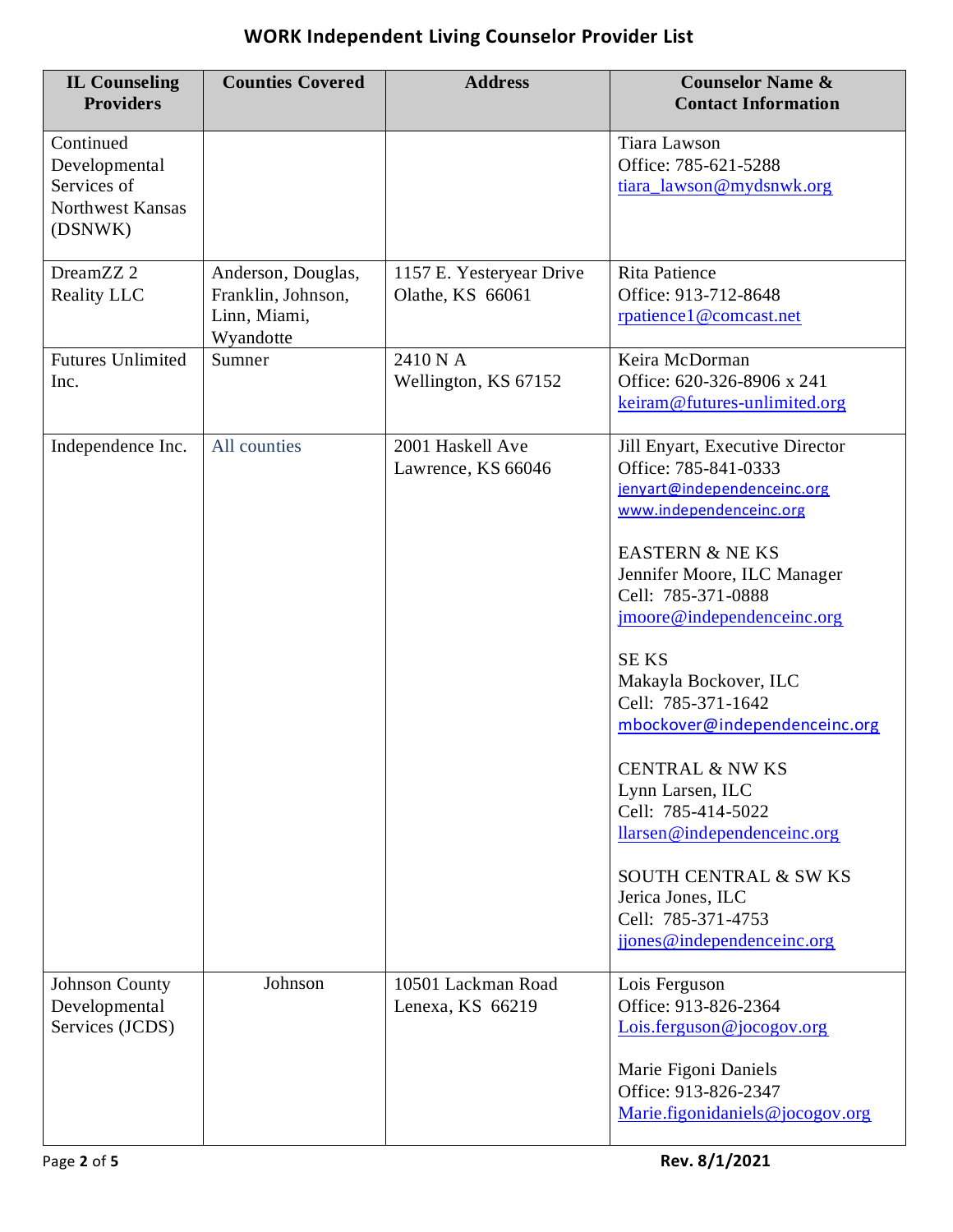| <b>IL Counseling</b><br><b>Providers</b>                                        | <b>Counties Covered</b>                                               | <b>Address</b>                               | <b>Counselor Name &amp;</b><br><b>Contact Information</b>                                                                                                                                                                                                                                                                                                                                                                                                                                                                                              |
|---------------------------------------------------------------------------------|-----------------------------------------------------------------------|----------------------------------------------|--------------------------------------------------------------------------------------------------------------------------------------------------------------------------------------------------------------------------------------------------------------------------------------------------------------------------------------------------------------------------------------------------------------------------------------------------------------------------------------------------------------------------------------------------------|
| Continued<br>Developmental<br>Services of<br><b>Northwest Kansas</b><br>(DSNWK) |                                                                       |                                              | <b>Tiara Lawson</b><br>Office: 785-621-5288<br>tiara_lawson@mydsnwk.org                                                                                                                                                                                                                                                                                                                                                                                                                                                                                |
| DreamZZ <sub>2</sub><br>Reality LLC                                             | Anderson, Douglas,<br>Franklin, Johnson,<br>Linn, Miami,<br>Wyandotte | 1157 E. Yesteryear Drive<br>Olathe, KS 66061 | <b>Rita Patience</b><br>Office: 913-712-8648<br>rpatience1@comcast.net                                                                                                                                                                                                                                                                                                                                                                                                                                                                                 |
| <b>Futures Unlimited</b><br>Inc.                                                | Sumner                                                                | 2410 N A<br>Wellington, KS 67152             | Keira McDorman<br>Office: 620-326-8906 x 241<br>keiram@futures-unlimited.org                                                                                                                                                                                                                                                                                                                                                                                                                                                                           |
| Independence Inc.                                                               | All counties                                                          | 2001 Haskell Ave<br>Lawrence, KS 66046       | Jill Enyart, Executive Director<br>Office: 785-841-0333<br>jenyart@independenceinc.org<br>www.independenceinc.org<br><b>EASTERN &amp; NE KS</b><br>Jennifer Moore, ILC Manager<br>Cell: 785-371-0888<br>jmoore@independenceinc.org<br><b>SE KS</b><br>Makayla Bockover, ILC<br>Cell: 785-371-1642<br>mbockover@independenceinc.org<br><b>CENTRAL &amp; NW KS</b><br>Lynn Larsen, ILC<br>Cell: 785-414-5022<br>llarsen@independenceinc.org<br><b>SOUTH CENTRAL &amp; SW KS</b><br>Jerica Jones, ILC<br>Cell: 785-371-4753<br>jjones@independenceinc.org |
| <b>Johnson County</b><br>Developmental<br>Services (JCDS)                       | Johnson                                                               | 10501 Lackman Road<br>Lenexa, KS 66219       | Lois Ferguson<br>Office: 913-826-2364<br>$Lois.$ ferguson @ jocogov.org<br>Marie Figoni Daniels<br>Office: 913-826-2347<br>Marie.figonidaniels@jocogov.org                                                                                                                                                                                                                                                                                                                                                                                             |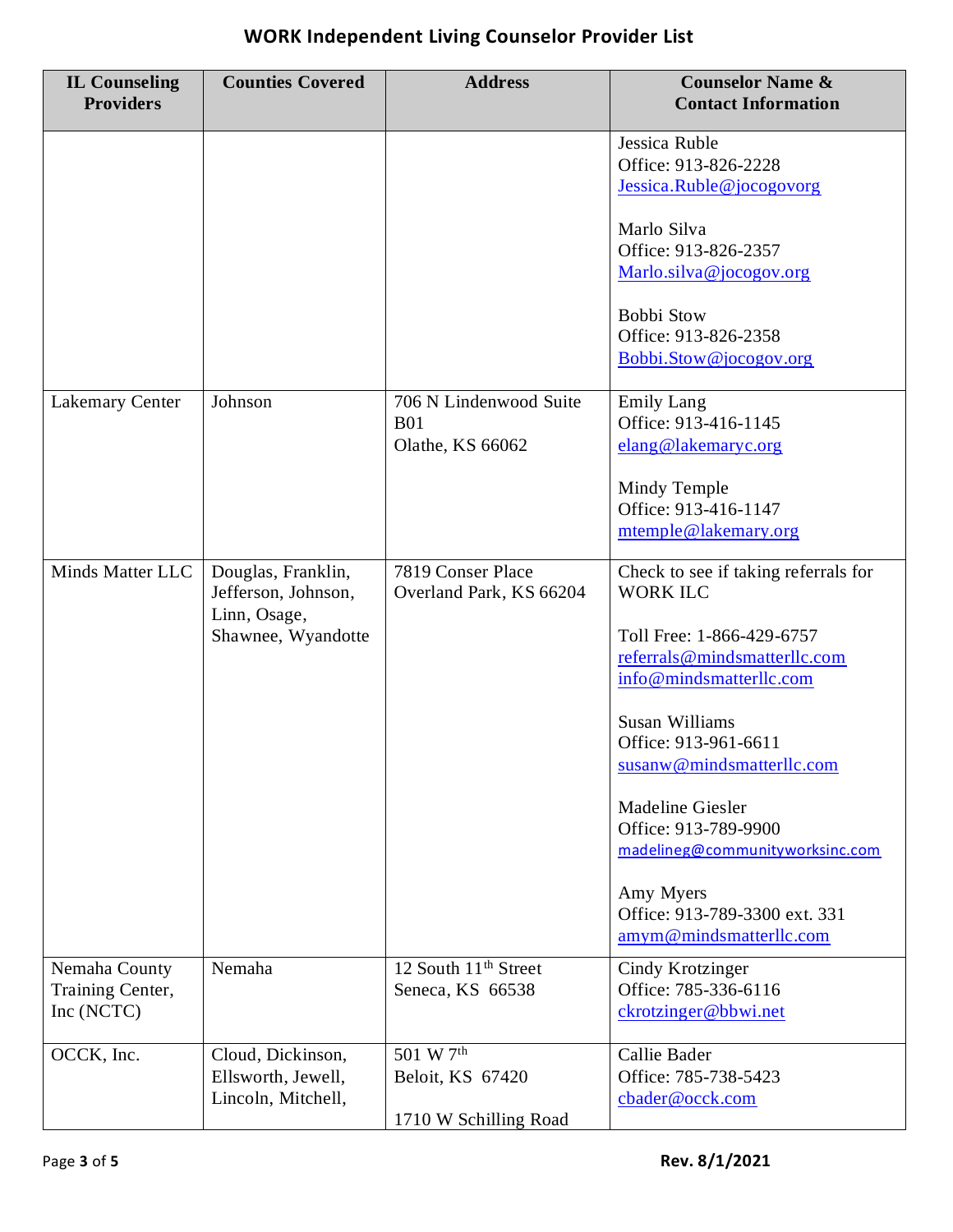| <b>IL Counseling</b><br><b>Providers</b>        | <b>Counties Covered</b>                                                         | <b>Address</b>                                           | <b>Counselor Name &amp;</b><br><b>Contact Information</b>                                                                                                                                                                                                                                                                                                                      |
|-------------------------------------------------|---------------------------------------------------------------------------------|----------------------------------------------------------|--------------------------------------------------------------------------------------------------------------------------------------------------------------------------------------------------------------------------------------------------------------------------------------------------------------------------------------------------------------------------------|
|                                                 |                                                                                 |                                                          | Jessica Ruble<br>Office: 913-826-2228<br>Jessica.Ruble@jocogovorg                                                                                                                                                                                                                                                                                                              |
|                                                 |                                                                                 |                                                          | Marlo Silva<br>Office: 913-826-2357<br>Marlo.silva@jocogov.org                                                                                                                                                                                                                                                                                                                 |
|                                                 |                                                                                 |                                                          | <b>Bobbi Stow</b><br>Office: 913-826-2358<br>Bobbi.Stow@jocogov.org                                                                                                                                                                                                                                                                                                            |
| <b>Lakemary Center</b>                          | Johnson                                                                         | 706 N Lindenwood Suite<br><b>B01</b><br>Olathe, KS 66062 | <b>Emily Lang</b><br>Office: 913-416-1145<br>elang@lakemaryc.org                                                                                                                                                                                                                                                                                                               |
|                                                 |                                                                                 |                                                          | Mindy Temple<br>Office: 913-416-1147<br>mtemple@lakemary.org                                                                                                                                                                                                                                                                                                                   |
| Minds Matter LLC                                | Douglas, Franklin,<br>Jefferson, Johnson,<br>Linn, Osage,<br>Shawnee, Wyandotte | 7819 Conser Place<br>Overland Park, KS 66204             | Check to see if taking referrals for<br><b>WORK ILC</b><br>Toll Free: 1-866-429-6757<br>referrals@mindsmatterllc.com<br>info@mindsmatterllc.com<br>Susan Williams<br>Office: 913-961-6611<br>susanw@mindsmatterllc.com<br>Madeline Giesler<br>Office: 913-789-9900<br>madelineg@communityworksinc.com<br>Amy Myers<br>Office: 913-789-3300 ext. 331<br>amym@mindsmatterllc.com |
| Nemaha County<br>Training Center,<br>Inc (NCTC) | Nemaha                                                                          | 12 South 11 <sup>th</sup> Street<br>Seneca, KS 66538     | Cindy Krotzinger<br>Office: 785-336-6116<br>ckrotzinger@bbwi.net                                                                                                                                                                                                                                                                                                               |
| OCCK, Inc.                                      | Cloud, Dickinson,<br>Ellsworth, Jewell,<br>Lincoln, Mitchell,                   | 501 W 7th<br>Beloit, KS 67420<br>1710 W Schilling Road   | Callie Bader<br>Office: 785-738-5423<br>cbader@occk.com                                                                                                                                                                                                                                                                                                                        |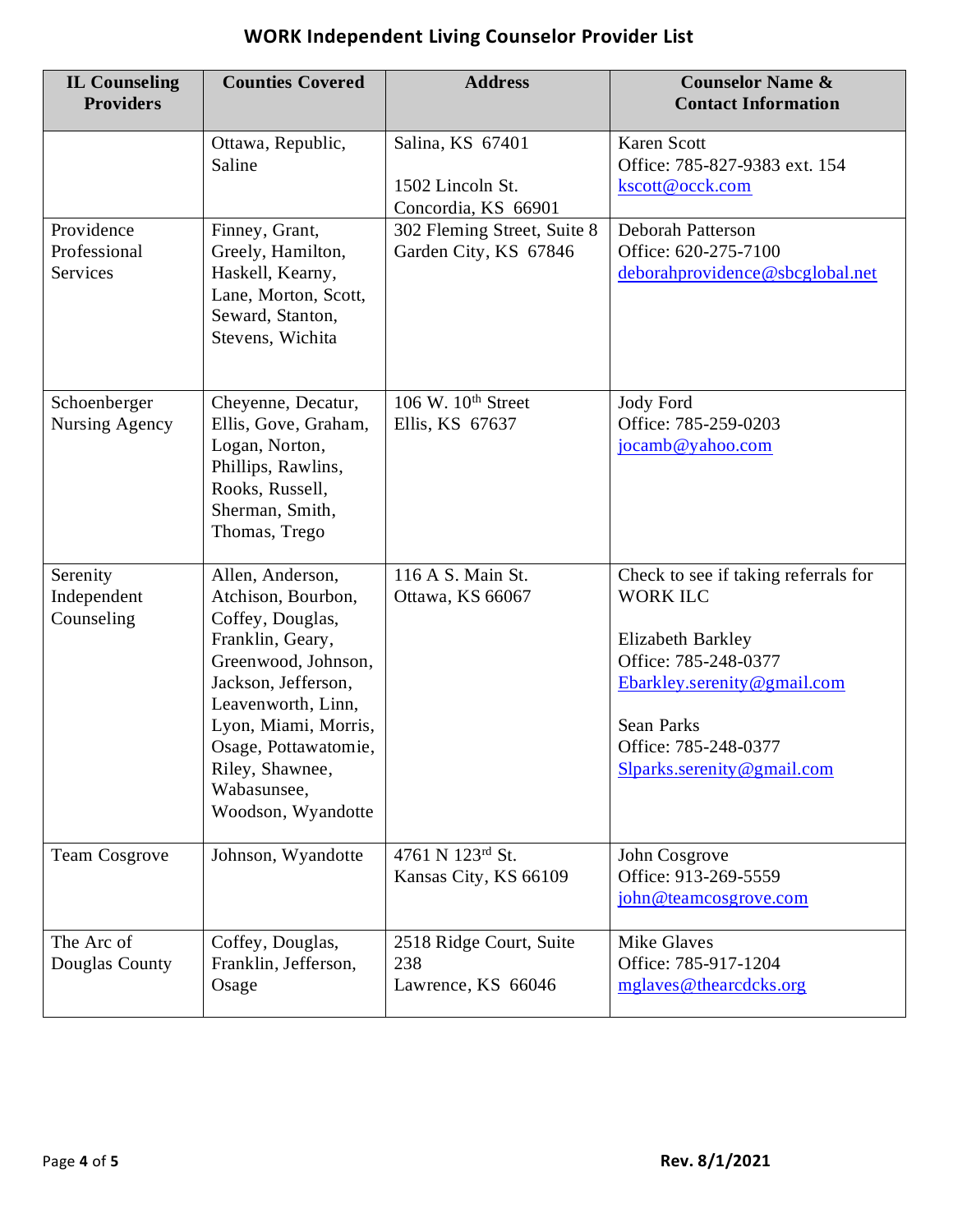| <b>IL Counseling</b><br><b>Providers</b> | <b>Counties Covered</b>                                                                                                                                                                                                                                    | <b>Address</b>                                              | <b>Counselor Name &amp;</b><br><b>Contact Information</b>                                                                                                                                                      |
|------------------------------------------|------------------------------------------------------------------------------------------------------------------------------------------------------------------------------------------------------------------------------------------------------------|-------------------------------------------------------------|----------------------------------------------------------------------------------------------------------------------------------------------------------------------------------------------------------------|
|                                          | Ottawa, Republic,<br>Saline                                                                                                                                                                                                                                | Salina, KS 67401<br>1502 Lincoln St.<br>Concordia, KS 66901 | <b>Karen Scott</b><br>Office: 785-827-9383 ext. 154<br>kscott@occk.com                                                                                                                                         |
| Providence<br>Professional<br>Services   | Finney, Grant,<br>Greely, Hamilton,<br>Haskell, Kearny,<br>Lane, Morton, Scott,<br>Seward, Stanton,<br>Stevens, Wichita                                                                                                                                    | 302 Fleming Street, Suite 8<br>Garden City, KS 67846        | <b>Deborah Patterson</b><br>Office: 620-275-7100<br>deborah providence @sbcglobal.net                                                                                                                          |
| Schoenberger<br>Nursing Agency           | Cheyenne, Decatur,<br>Ellis, Gove, Graham,<br>Logan, Norton,<br>Phillips, Rawlins,<br>Rooks, Russell,<br>Sherman, Smith,<br>Thomas, Trego                                                                                                                  | 106 W. $10th$ Street<br>Ellis, KS 67637                     | Jody Ford<br>Office: 785-259-0203<br>jocamb@yahoo.com                                                                                                                                                          |
| Serenity<br>Independent<br>Counseling    | Allen, Anderson,<br>Atchison, Bourbon,<br>Coffey, Douglas,<br>Franklin, Geary,<br>Greenwood, Johnson,<br>Jackson, Jefferson,<br>Leavenworth, Linn,<br>Lyon, Miami, Morris,<br>Osage, Pottawatomie,<br>Riley, Shawnee,<br>Wabasunsee,<br>Woodson, Wyandotte | 116 A S. Main St.<br>Ottawa, KS 66067                       | Check to see if taking referrals for<br><b>WORK ILC</b><br>Elizabeth Barkley<br>Office: 785-248-0377<br>Ebarkley.serenity@gmail.com<br><b>Sean Parks</b><br>Office: 785-248-0377<br>Slparks.serenity@gmail.com |
| <b>Team Cosgrove</b>                     | Johnson, Wyandotte                                                                                                                                                                                                                                         | 4761 N 123rd St.<br>Kansas City, KS 66109                   | John Cosgrove<br>Office: 913-269-5559<br>john@teamcosgrove.com                                                                                                                                                 |
| The Arc of<br>Douglas County             | Coffey, Douglas,<br>Franklin, Jefferson,<br>Osage                                                                                                                                                                                                          | 2518 Ridge Court, Suite<br>238<br>Lawrence, KS 66046        | <b>Mike Glaves</b><br>Office: 785-917-1204<br>mglaves@thearcdcks.org                                                                                                                                           |